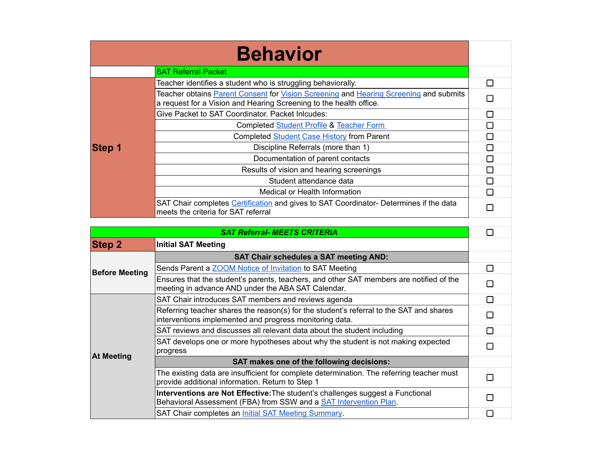| <b>Behavior</b>       |                                                                                                                                                             |        |
|-----------------------|-------------------------------------------------------------------------------------------------------------------------------------------------------------|--------|
|                       | <b>SAT Referral Packet</b>                                                                                                                                  |        |
|                       | Teacher identifies a student who is struggling behaviorally.                                                                                                | □      |
| <b>Step 1</b>         | Teacher obtains Parent Consent for Vision Screening and Hearing Screening and submits<br>a request for a Vision and Hearing Screening to the health office. | $\Box$ |
|                       | Give Packet to SAT Coordinator. Packet Inlcudes:                                                                                                            | □      |
|                       | <b>Completed Student Profile &amp; Teacher Form</b>                                                                                                         | $\Box$ |
|                       | Completed Student Case History from Parent                                                                                                                  | □      |
|                       | Discipline Referrals (more than 1)                                                                                                                          | $\Box$ |
|                       | Documentation of parent contacts                                                                                                                            | $\Box$ |
|                       | Results of vision and hearing screenings                                                                                                                    | $\Box$ |
|                       | Student attendance data                                                                                                                                     | $\Box$ |
|                       | Medical or Health Information                                                                                                                               | □      |
|                       | SAT Chair completes Certification and gives to SAT Coordinator- Determines if the data<br>meets the criteria for SAT referral                               | □      |
|                       |                                                                                                                                                             |        |
|                       | <b>SAT Referral- MEETS CRITERIA</b>                                                                                                                         | $\Box$ |
| <b>Step 2</b>         | <b>Initial SAT Meeting</b>                                                                                                                                  |        |
|                       | <b>SAT Chair schedules a SAT meeting AND:</b>                                                                                                               |        |
| <b>Before Meeting</b> | Sends Parent a <b>ZOOM</b> Notice of Invitation to SAT Meeting                                                                                              | □      |
|                       | Ensures that the student's parents, teachers, and other SAT members are notified of the<br>meeting in advance AND under the ABA SAT Calendar.               | □      |
|                       | SAT Chair introduces SAT members and reviews agenda                                                                                                         | □      |
| <b>At Meeting</b>     | Referring teacher shares the reason(s) for the student's referral to the SAT and shares<br>interventions implemented and progress monitoring data.          | $\Box$ |
|                       | SAT reviews and discusses all relevant data about the student including                                                                                     | □      |
|                       | SAT develops one or more hypotheses about why the student is not making expected<br>progress                                                                | $\Box$ |
|                       | SAT makes one of the following decisions:                                                                                                                   |        |
|                       | The existing data are insufficient for complete determination. The referring teacher must<br>provide additional information. Return to Step 1               | П      |
|                       | Interventions are Not Effective: The student's challenges suggest a Functional<br>Behavioral Assessment (FBA) from SSW and a <b>SAT Intervention Plan</b> . | $\Box$ |
|                       | SAT Chair completes an <i>Initial SAT Meeting Summary</i> .                                                                                                 | $\Box$ |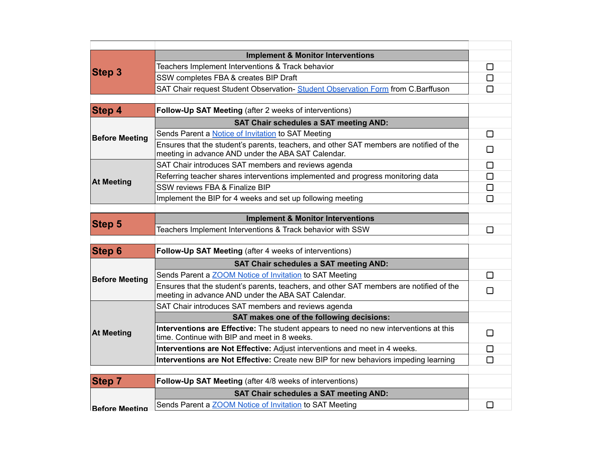| <b>Step 3</b>         | <b>Implement &amp; Monitor Interventions</b>                                                                                                  |        |
|-----------------------|-----------------------------------------------------------------------------------------------------------------------------------------------|--------|
|                       | Teachers Implement Interventions & Track behavior                                                                                             | □      |
|                       | SSW completes FBA & creates BIP Draft                                                                                                         | П      |
|                       | SAT Chair request Student Observation- Student Observation Form from C.Barffuson                                                              | П      |
|                       |                                                                                                                                               |        |
| <b>Step 4</b>         | Follow-Up SAT Meeting (after 2 weeks of interventions)                                                                                        |        |
| <b>Before Meeting</b> | <b>SAT Chair schedules a SAT meeting AND:</b>                                                                                                 |        |
|                       | Sends Parent a <b>Notice of Invitation</b> to SAT Meeting                                                                                     | $\Box$ |
|                       | Ensures that the student's parents, teachers, and other SAT members are notified of the<br>meeting in advance AND under the ABA SAT Calendar. | П      |
|                       | SAT Chair introduces SAT members and reviews agenda                                                                                           | □      |
|                       | Referring teacher shares interventions implemented and progress monitoring data                                                               | $\Box$ |
| <b>At Meeting</b>     | SSW reviews FBA & Finalize BIP                                                                                                                | □      |
|                       | Implement the BIP for 4 weeks and set up following meeting                                                                                    | $\Box$ |
|                       |                                                                                                                                               |        |
| <b>Step 5</b>         | <b>Implement &amp; Monitor Interventions</b>                                                                                                  |        |
|                       | Teachers Implement Interventions & Track behavior with SSW                                                                                    | ⊓      |
| <b>Step 6</b>         | Follow-Up SAT Meeting (after 4 weeks of interventions)                                                                                        |        |
|                       | <b>SAT Chair schedules a SAT meeting AND:</b>                                                                                                 |        |
| <b>Before Meeting</b> | Sends Parent a <b>ZOOM</b> Notice of Invitation to SAT Meeting                                                                                | П      |
|                       | Ensures that the student's parents, teachers, and other SAT members are notified of the<br>meeting in advance AND under the ABA SAT Calendar. | $\Box$ |
| <b>At Meeting</b>     | SAT Chair introduces SAT members and reviews agenda                                                                                           |        |
|                       | SAT makes one of the following decisions:                                                                                                     |        |
|                       | Interventions are Effective: The student appears to need no new interventions at this<br>time. Continue with BIP and meet in 8 weeks.         | П      |
|                       | Interventions are Not Effective: Adjust interventions and meet in 4 weeks.                                                                    | □      |
|                       | Interventions are Not Effective: Create new BIP for new behaviors impeding learning                                                           | П      |
|                       |                                                                                                                                               |        |
| <b>Step 7</b>         | Follow-Up SAT Meeting (after 4/8 weeks of interventions)                                                                                      |        |
| Before Meeting        | <b>SAT Chair schedules a SAT meeting AND:</b>                                                                                                 |        |
|                       | Sends Parent a <b>ZOOM</b> Notice of Invitation to SAT Meeting                                                                                | □      |